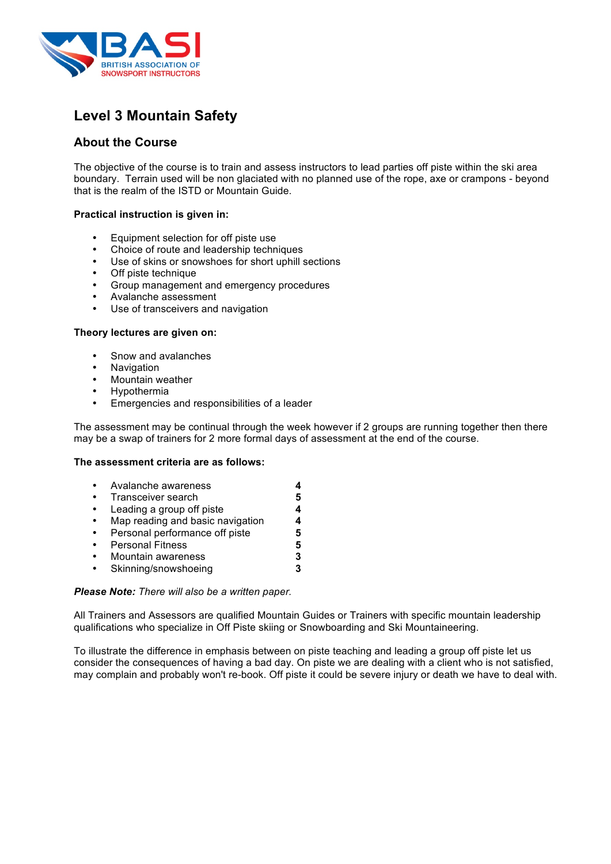

# **Level 3 Mountain Safety**

# **About the Course**

The objective of the course is to train and assess instructors to lead parties off piste within the ski area boundary. Terrain used will be non glaciated with no planned use of the rope, axe or crampons - beyond that is the realm of the ISTD or Mountain Guide.

# **Practical instruction is given in:**

- Equipment selection for off piste use
- Choice of route and leadership techniques
- Use of skins or snowshoes for short uphill sections
- Off piste technique
- Group management and emergency procedures
- Avalanche assessment
- Use of transceivers and navigation

### **Theory lectures are given on:**

- Snow and avalanches
- Navigation
- Mountain weather
- Hypothermia
- Emergencies and responsibilities of a leader

The assessment may be continual through the week however if 2 groups are running together then there may be a swap of trainers for 2 more formal days of assessment at the end of the course.

#### **The assessment criteria are as follows:**

- Avalanche awareness **4** • Transceiver search **5 Leading a group off piste <b>4**<br>Map reading and basic navigation 4 • Map reading and basic navigation **4** • Personal performance off piste **5**
- Personal Fitness **5**
- Mountain awareness **3**
- Skinning/snowshoeing **3**

#### *Please Note: There will also be a written paper.*

All Trainers and Assessors are qualified Mountain Guides or Trainers with specific mountain leadership qualifications who specialize in Off Piste skiing or Snowboarding and Ski Mountaineering.

To illustrate the difference in emphasis between on piste teaching and leading a group off piste let us consider the consequences of having a bad day. On piste we are dealing with a client who is not satisfied, may complain and probably won't re-book. Off piste it could be severe injury or death we have to deal with.